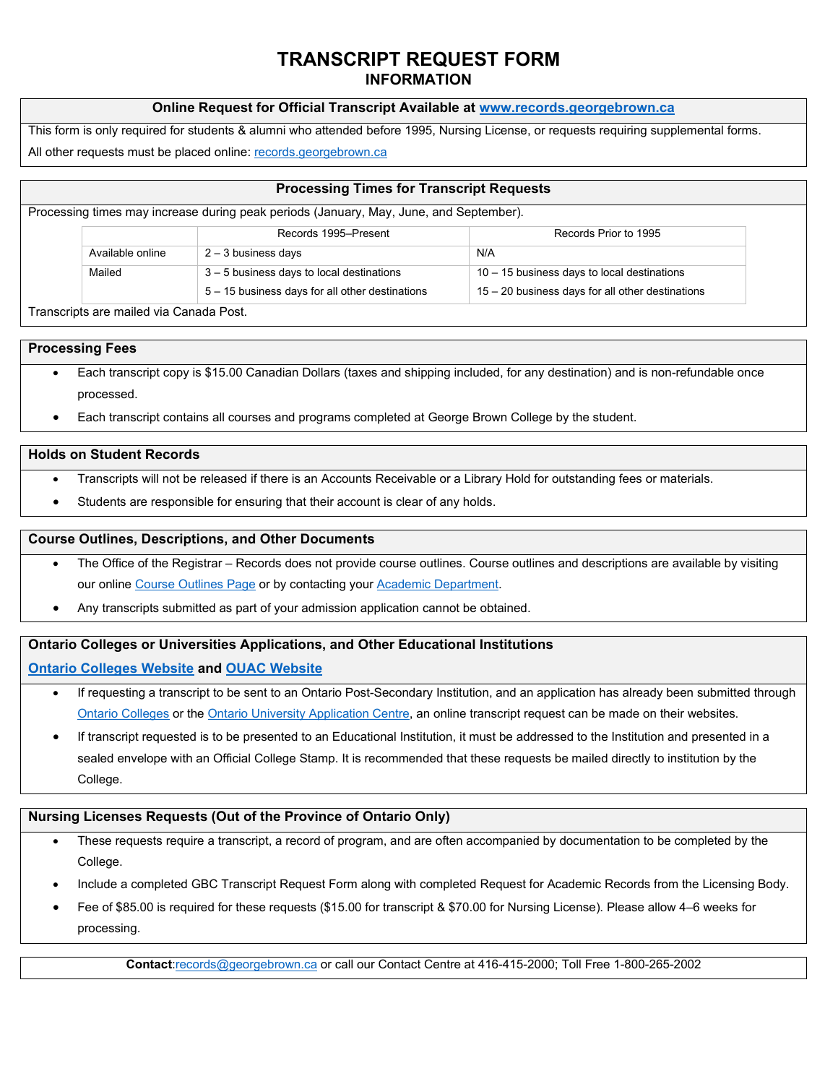## **TRANSCRIPT REQUEST FORM INFORMATION**

#### **Online Request for Official Transcript Available at [www.records.georgebrown.ca](http://www.records.georgebrown.ca/)**

This form is only required for students & alumni who attended before 1995, Nursing License, or requests requiring supplemental forms. All other requests must be placed online: [records.georgebrown.ca](http://www.records.georgebrown.ca/)

### **Processing Times for Transcript Requests**

|                  | Records 1995–Present                            | Records Prior to 1995                              |  |  |
|------------------|-------------------------------------------------|----------------------------------------------------|--|--|
| Available online | $2 - 3$ business days                           | N/A                                                |  |  |
| Mailed           | $3 - 5$ business days to local destinations     | $10 - 15$ business days to local destinations      |  |  |
|                  | 5 – 15 business days for all other destinations | $15 - 20$ business days for all other destinations |  |  |

Transcripts are mailed via Canada Post.

#### **Processing Fees**

- Each transcript copy is \$15.00 Canadian Dollars (taxes and shipping included, for any destination) and is non-refundable once processed.
- Each transcript contains all courses and programs completed at George Brown College by the student.

#### **Holds on Student Records**

- Transcripts will not be released if there is an Accounts Receivable or a Library Hold for outstanding fees or materials.
- Students are responsible for ensuring that their account is clear of any holds.

#### **Course Outlines, Descriptions, and Other Documents**

- The Office of the Registrar Records does not provide course outlines. Course outlines and descriptions are available by visiting our onlin[e Course Outlines Page](https://www.georgebrown.ca/programs/course-outlines) or by contacting you[r Academic Department.](https://www.georgebrown.ca/why-george-brown/centres-schools/contact)
- Any transcripts submitted as part of your admission application cannot be obtained.

#### **Ontario Colleges or Universities Applications, and Other Educational Institutions**

#### **[Ontario Colleges Website](https://www.ontariocolleges.ca/en/) and [OUAC Website](https://www.ouac.on.ca/)**

- If requesting a transcript to be sent to an Ontario Post-Secondary Institution, and an application has already been submitted through [Ontario Colleges](https://www.ontariocolleges.ca/en/) or the Ontario [University Application Centre,](https://www.ouac.on.ca/) an online transcript request can be made on their websites.
- If transcript requested is to be presented to an Educational Institution, it must be addressed to the Institution and presented in a sealed envelope with an Official College Stamp. It is recommended that these requests be mailed directly to institution by the College.

#### **Nursing Licenses Requests (Out of the Province of Ontario Only)**

- These requests require a transcript, a record of program, and are often accompanied by documentation to be completed by the College.
- Include a completed GBC Transcript Request Form along with completed Request for Academic Records from the Licensing Body.
- Fee of \$85.00 is required for these requests (\$15.00 for transcript & \$70.00 for Nursing License). Please allow 4–6 weeks for processing.

**Contact**[:records@georgebrown.ca](mailto:records@georgebrown.ca) or call our Contact Centre at 416-415-2000; Toll Free 1-800-265-2002